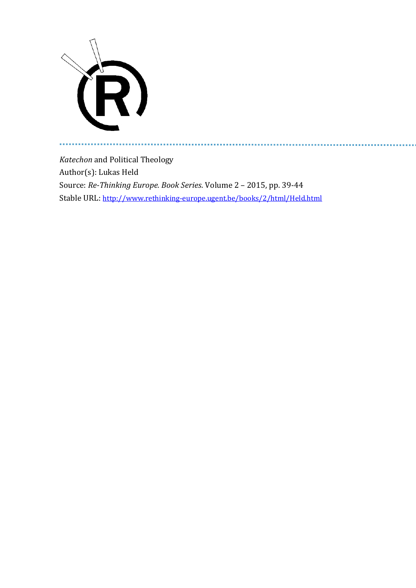

a a

*Katechon* and Political Theology Author(s): Lukas Held Source: *Re-Thinking Europe. Book Series*. Volume 2 – 2015, pp. 39-44 Stable URL: <http://www.rethinking-europe.ugent.be/books/2/html/Held.html>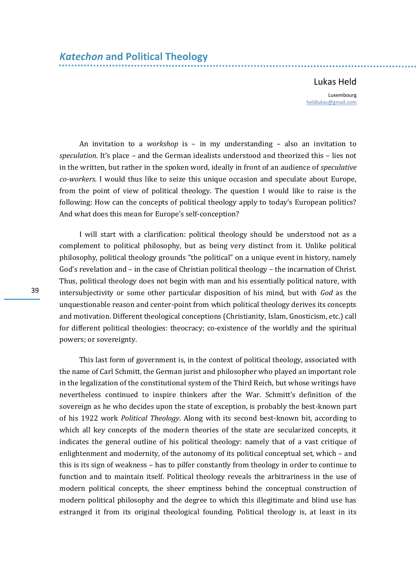## Lukas Held

Luxembourg [heldlukas@gmail.com](mailto:heldlukas@gmail.com)

An invitation to a *workshop* is – in my understanding – also an invitation to *speculation*. It's place – and the German idealists understood and theorized this – lies not in the written, but rather in the spoken word, ideally in front of an audience of *speculative co-workers*. I would thus like to seize this unique occasion and speculate about Europe, from the point of view of political theology. The question I would like to raise is the following: How can the concepts of political theology apply to today's European politics? And what does this mean for Europe's self-conception?

I will start with a clarification: political theology should be understood not as a complement to political philosophy, but as being very distinct from it. Unlike political philosophy, political theology grounds "the political" on a unique event in history, namely God's revelation and – in the case of Christian political theology – the incarnation of Christ. Thus, political theology does not begin with man and his essentially political nature, with intersubjectivity or some other particular disposition of his mind, but with *God* as the unquestionable reason and center-point from which political theology derives its concepts and motivation. Different theological conceptions (Christianity, Islam, Gnosticism, etc.) call for different political theologies: theocracy; co-existence of the worldly and the spiritual powers; or sovereignty.

This last form of government is, in the context of political theology, associated with the name of Carl Schmitt, the German jurist and philosopher who played an important role in the legalization of the constitutional system of the Third Reich, but whose writings have nevertheless continued to inspire thinkers after the War. Schmitt's definition of the sovereign as he who decides upon the state of exception, is probably the best-known part of his 1922 work *Political Theology*. Along with its second best-known bit, according to which all key concepts of the modern theories of the state are secularized concepts, it indicates the general outline of his political theology: namely that of a vast critique of enlightenment and modernity, of the autonomy of its political conceptual set, which – and this is its sign of weakness – has to pilfer constantly from theology in order to continue to function and to maintain itself. Political theology reveals the arbitrariness in the use of modern political concepts, the sheer emptiness behind the conceptual construction of modern political philosophy and the degree to which this illegitimate and blind use has estranged it from its original theological founding. Political theology is, at least in its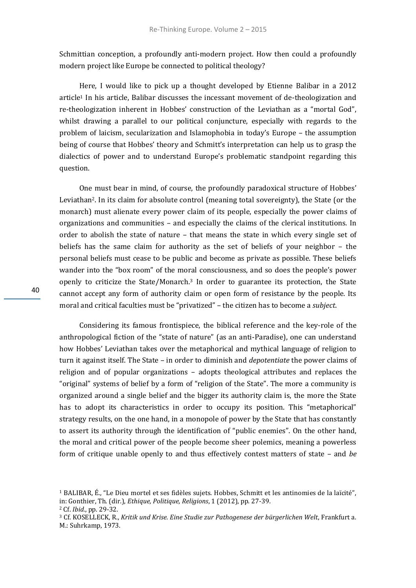Schmittian conception, a profoundly anti-modern project. How then could a profoundly modern project like Europe be connected to political theology?

Here, I would like to pick up a thought developed by Etienne Balibar in a 2012 article<sup>1</sup> In his article, Balibar discusses the incessant movement of de-theologization and re-theologization inherent in Hobbes' construction of the Leviathan as a "mortal God", whilst drawing a parallel to our political conjuncture, especially with regards to the problem of laicism, secularization and Islamophobia in today's Europe – the assumption being of course that Hobbes' theory and Schmitt's interpretation can help us to grasp the dialectics of power and to understand Europe's problematic standpoint regarding this question.

One must bear in mind, of course, the profoundly paradoxical structure of Hobbes' Leviathan2. In its claim for absolute control (meaning total sovereignty), the State (or the monarch) must alienate every power claim of its people, especially the power claims of organizations and communities – and especially the claims of the clerical institutions. In order to abolish the state of nature – that means the state in which every single set of beliefs has the same claim for authority as the set of beliefs of your neighbor – the personal beliefs must cease to be public and become as private as possible. These beliefs wander into the "box room" of the moral consciousness, and so does the people's power openly to criticize the State/Monarch.<sup>3</sup> In order to guarantee its protection, the State cannot accept any form of authority claim or open form of resistance by the people. Its moral and critical faculties must be "privatized" – the citizen has to become a *subject*.

Considering its famous frontispiece, the biblical reference and the key-role of the anthropological fiction of the "state of nature" (as an anti-Paradise), one can understand how Hobbes' Leviathan takes over the metaphorical and mythical language of religion to turn it against itself. The State – in order to diminish and *depotentiate* the power claims of religion and of popular organizations – adopts theological attributes and replaces the "original" systems of belief by a form of "religion of the State". The more a community is organized around a single belief and the bigger its authority claim is, the more the State has to adopt its characteristics in order to occupy its position. This "metaphorical" strategy results, on the one hand, in a monopole of power by the State that has constantly to assert its authority through the identification of "public enemies". On the other hand, the moral and critical power of the people become sheer polemics, meaning a powerless form of critique unable openly to and thus effectively contest matters of state – and *be* 

<sup>1</sup> BALIBAR, É., "Le Dieu mortel et ses fidèles sujets. Hobbes, Schmitt et les antinomies de la laïcité", in: Gonthier, Th. (dir.), *Ethique, Politique, Religions*, 1 (2012), pp. 27-39.

<sup>2</sup> Cf. *Ibid.*, pp. 29-32.

<sup>3</sup> Cf. KOSELLECK, R., *Kritik und Krise. Eine Studie zur Pathogenese der bürgerlichen Welt*, Frankfurt a. M.: Suhrkamp, 1973.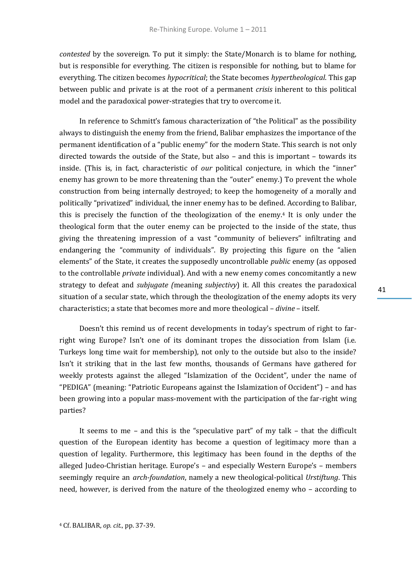*contested* by the sovereign. To put it simply: the State/Monarch is to blame for nothing, but is responsible for everything. The citizen is responsible for nothing, but to blame for everything. The citizen becomes *hypocritical*; the State becomes *hypertheological*. This gap between public and private is at the root of a permanent *crisis* inherent to this political model and the paradoxical power-strategies that try to overcome it.

In reference to Schmitt's famous characterization of "the Political" as the possibility always to distinguish the enemy from the friend, Balibar emphasizes the importance of the permanent identification of a "public enemy" for the modern State. This search is not only directed towards the outside of the State, but also – and this is important – towards its inside. (This is, in fact, characteristic of *our* political conjecture, in which the "inner" enemy has grown to be more threatening than the "outer" enemy.) To prevent the whole construction from being internally destroyed; to keep the homogeneity of a morally and politically "privatized" individual, the inner enemy has to be defined. According to Balibar, this is precisely the function of the theologization of the enemy.<sup>4</sup> It is only under the theological form that the outer enemy can be projected to the inside of the state, thus giving the threatening impression of a vast "community of believers" infiltrating and endangering the "community of individuals". By projecting this figure on the "alien elements" of the State, it creates the supposedly uncontrollable *public* enemy (as opposed to the controllable *private* individual). And with a new enemy comes concomitantly a new strategy to defeat and *subjugate (*meaning *subjectivy*) it. All this creates the paradoxical situation of a secular state, which through the theologization of the enemy adopts its very characteristics; a state that becomes more and more theological – *divine* – itself.

Doesn't this remind us of recent developments in today's spectrum of right to farright wing Europe? Isn't one of its dominant tropes the dissociation from Islam (i.e. Turkeys long time wait for membership), not only to the outside but also to the inside? Isn't it striking that in the last few months, thousands of Germans have gathered for weekly protests against the alleged "Islamization of the Occident", under the name of "PEDIGA" (meaning: "Patriotic Europeans against the Islamization of Occident") – and has been growing into a popular mass-movement with the participation of the far-right wing parties?

It seems to me – and this is the "speculative part" of my talk – that the difficult question of the European identity has become a question of legitimacy more than a question of legality. Furthermore, this legitimacy has been found in the depths of the alleged Judeo-Christian heritage. Europe's – and especially Western Europe's – members seemingly require an *arch-foundation*, namely a new theological-political *Urstiftung*. This need, however, is derived from the nature of the theologized enemy who – according to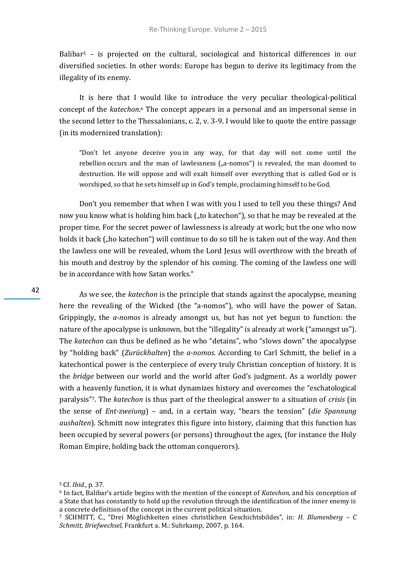Balibar<sup>5</sup> – is projected on the cultural, sociological and historical differences in our diversified societies. In other words: Europe has begun to derive its legitimacy from the illegality of its enemy.

It is here that I would like to introduce the very peculiar theological-political concept of the *katechon*. <sup>6</sup> The concept appears in a personal and an impersonal sense in the second letter to the Thessalonians, c. 2, v. 3-9. I would like to quote the entire passage (in its modernized translation):

"Don't let anyone deceive you in any way, for that day will not come until the rebellion occurs and the man of lawlessness  $($ "a-nomos") is revealed, the man doomed to destruction. He will oppose and will exalt himself over everything that is called God or is worshiped, so that he sets himself up in God's temple, proclaiming himself to be God.

Don't you remember that when I was with you I used to tell you these things? And now you know what is holding him back ("to katechon"), so that he may be revealed at the proper time. For the secret power of lawlessness is already at work; but the one who now holds it back ("ho katechon") will continue to do so till he is taken out of the way. And then the lawless one will be revealed, whom the Lord Jesus will overthrow with the breath of his mouth and destroy by the splendor of his coming. The coming of the lawless one will be in accordance with how Satan works."

As we see, the *katechon* is the principle that stands against the apocalypse, meaning here the revealing of the Wicked (the "a-nomos"), who will have the power of Satan. Grippingly, the *a-nomos* is already amongst us, but has not yet begun to function: the nature of the apocalypse is unknown, but the "illegality" is already at work ("amongst us"). The *katechon* can thus be defined as he who "detains", who "slows down" the apocalypse by "holding back" (*Zurückhalten*) the *a-nomos*. According to Carl Schmitt, the belief in a katechontical power is the centerpiece of every truly Christian conception of history. It is the *bridge* between our world and the world after God's judgment. As a worldly power with a heavenly function, it is what dynamizes history and overcomes the "eschatological paralysis"7. The *katechon* is thus part of the theological answer to a situation of *crisis* (in the sense of *Ent-zweiung*) – and, in a certain way, "bears the tension" (*die Spannung aushalten*). Schmitt now integrates this figure into history, claiming that this function has been occupied by several powers (or persons) throughout the ages, (for instance the Holy Roman Empire, holding back the ottoman conquerors).

<sup>5</sup> Cf. *Ibid.*, p. 37.

<sup>6</sup> In fact, Balibar's article begins with the mention of the concept of *Katechon*, and his conception of a State that has constantly to hold up the revolution through the identification of the inner enemy is a concrete definition of the concept in the current political situation.

<sup>7</sup> SCHMITT, C., "Drei Möglichkeiten eines christlichen Geschichtsbildes", in: *H. Blumenberg – C Schmitt, Briefwechsel,* Frankfurt a. M.: Suhrkamp, 2007, p. 164.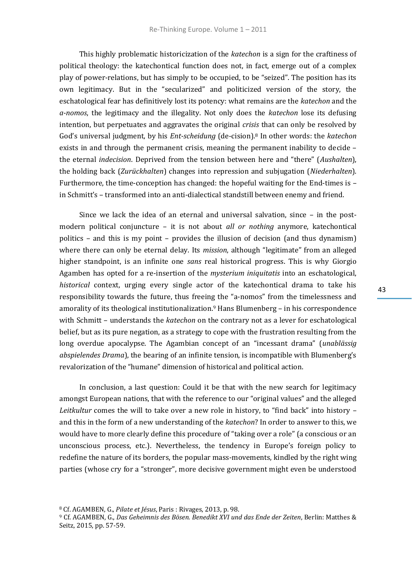This highly problematic historicization of the *katechon* is a sign for the craftiness of political theology: the katechontical function does not, in fact, emerge out of a complex play of power-relations, but has simply to be occupied, to be "seized". The position has its own legitimacy. But in the "secularized" and politicized version of the story, the eschatological fear has definitively lost its potency: what remains are the *katechon* and the *a-nomos*, the legitimacy and the illegality. Not only does the *katechon* lose its defusing intention, but perpetuates and aggravates the original *crisis* that can only be resolved by God's universal judgment, by his *Ent-scheidung* (de-cision).<sup>8</sup> In other words: the *katechon* exists in and through the permanent crisis, meaning the permanent inability to decide – the eternal *indecision*. Deprived from the tension between here and "there" (*Aushalten*), the holding back (*Zurückhalten*) changes into repression and subjugation (*Niederhalten*). Furthermore, the time-conception has changed: the hopeful waiting for the End-times is – in Schmitt's – transformed into an anti-dialectical standstill between enemy and friend.

Since we lack the idea of an eternal and universal salvation, since – in the postmodern political conjuncture – it is not about *all or nothing* anymore, katechontical politics – and this is my point – provides the illusion of decision (and thus dynamism) where there can only be eternal delay. Its *mission*, although "legitimate" from an alleged higher standpoint, is an infinite one *sans* real historical progress. This is why Giorgio Agamben has opted for a re-insertion of the *mysterium iniquitatis* into an eschatological, *historical* context, urging every single actor of the katechontical drama to take his responsibility towards the future, thus freeing the "a-nomos" from the timelessness and amorality of its theological institutionalization.<sup>9</sup> Hans Blumenberg – in his correspondence with Schmitt – understands the *katechon* on the contrary not as a lever for eschatological belief, but as its pure negation, as a strategy to cope with the frustration resulting from the long overdue apocalypse. The Agambian concept of an "incessant drama" (*unablässig abspielendes Drama*), the bearing of an infinite tension, is incompatible with Blumenberg's revalorization of the "humane" dimension of historical and political action.

In conclusion, a last question: Could it be that with the new search for legitimacy amongst European nations, that with the reference to our "original values" and the alleged *Leitkultur* comes the will to take over a new role in history, to "find back" into history – and this in the form of a new understanding of the *katechon*? In order to answer to this, we would have to more clearly define this procedure of "taking over a role" (a conscious or an unconscious process, etc.). Nevertheless, the tendency in Europe's foreign policy to redefine the nature of its borders, the popular mass-movements, kindled by the right wing parties (whose cry for a "stronger", more decisive government might even be understood

<sup>8</sup> Cf. AGAMBEN, G., *Pilate et Jésus*, Paris : Rivages, 2013, p. 98.

<sup>9</sup> Cf. AGAMBEN, G., *Das Geheimnis des Bösen. Benedikt XVI und das Ende der Zeiten*, Berlin: Matthes & Seitz, 2015, pp. 57-59.